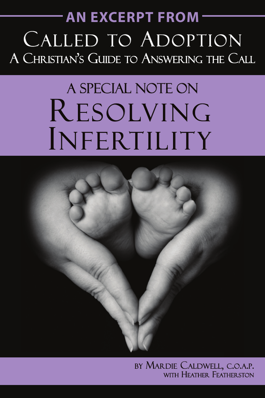## CALLED TO ADOPTION A CHRISTIAN'S GUIDE TO ANSWERING THE CALL  $-$  AN EXCERPT FROM ·

# ReSolVinG **INFERTILITY** A SPECIAL NOTE ON



BY MARDIE CALDWELL, C.O.A.P. WITH HEATHER FEATHER STON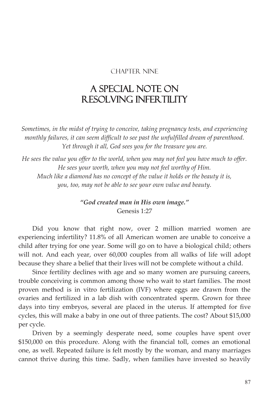#### Chapter NINE

## A Special Note on RESOLVING INFERTILITY

*Sometimes, in the midst of trying to conceive, taking pregnancy tests, and experiencing monthly failures, it can seem difficult to see past the unfulfilled dream of parenthood. Yet through it all, God sees you for the treasure you are.* 

*He sees the value you offer to the world, when you may not feel you have much to offer. He sees your worth, when you may not feel worthy of Him. Much like a diamond has no concept of the value it holds or the beauty it is, you, too, may not be able to see your own value and beauty.* 

> *"God created man in His own image."*  Genesis 1:27

Did you know that right now, over 2 million married women are experiencing infertility? 11.8% of all American women are unable to conceive a child after trying for one year. Some will go on to have a biological child; others will not. And each year, over 60,000 couples from all walks of life will adopt because they share a belief that their lives will not be complete without a child.

Since fertility declines with age and so many women are pursuing careers, trouble conceiving is common among those who wait to start families. The most proven method is in vitro fertilization (IVF) where eggs are drawn from the ovaries and fertilized in a lab dish with concentrated sperm. Grown for three days into tiny embryos, several are placed in the uterus. If attempted for five cycles, this will make a baby in one out of three patients. The cost? About \$15,000 per cycle.

Driven by a seemingly desperate need, some couples have spent over \$150,000 on this procedure. Along with the financial toll, comes an emotional one, as well. Repeated failure is felt mostly by the woman, and many marriages cannot thrive during this time. Sadly, when families have invested so heavily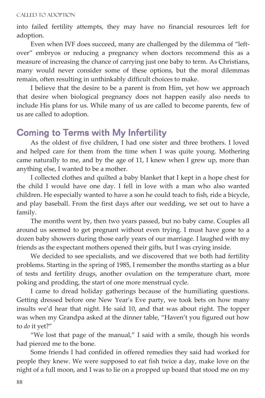#### CALLED TO ADOPTION

into failed fertility attempts, they may have no financial resources left for adoption.

Even when IVF does succeed, many are challenged by the dilemma of "leftover" embryos or reducing a pregnancy when doctors recommend this as a measure of increasing the chance of carrying just one baby to term. As Christians, many would never consider some of these options, but the moral dilemmas remain, often resulting in unthinkably difficult choices to make.

I believe that the desire to be a parent is from Him, yet how we approach that desire when biological pregnancy does not happen easily also needs to include His plans for us. While many of us are called to become parents, few of us are called to adoption.

## Coming to Terms with My Infertility

As the oldest of five children, I had one sister and three brothers. I loved and helped care for them from the time when I was quite young. Mothering came naturally to me, and by the age of 11, I knew when I grew up, more than anything else, I wanted to be a mother.

I collected clothes and quilted a baby blanket that I kept in a hope chest for the child I would have one day. I fell in love with a man who also wanted children. He especially wanted to have a son he could teach to fish, ride a bicycle, and play baseball. From the first days after our wedding, we set out to have a family.

The months went by, then two years passed, but no baby came. Couples all around us seemed to get pregnant without even trying. I must have gone to a dozen baby showers during those early years of our marriage. I laughed with my friends as the expectant mothers opened their gifts, but I was crying inside.

We decided to see specialists, and we discovered that we both had fertility problems. Starting in the spring of 1985, I remember the months starting as a blur of tests and fertility drugs, another ovulation on the temperature chart, more poking and prodding, the start of one more menstrual cycle.

I came to dread holiday gatherings because of the humiliating questions. Getting dressed before one New Year's Eve party, we took bets on how many insults we'd hear that night. He said 10, and that was about right. The topper was when my Grandpa asked at the dinner table, "Haven't you figured out how to *do* it yet?"

"We lost that page of the manual," I said with a smile, though his words had pierced me to the bone.

Some friends I had confided in offered remedies they said had worked for people they knew. We were supposed to eat fish twice a day, make love on the night of a full moon, and I was to lie on a propped up board that stood me on my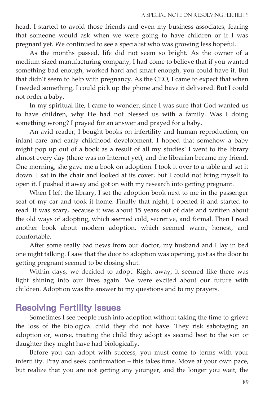head. I started to avoid those friends and even my business associates, fearing that someone would ask when we were going to have children or if I was pregnant yet. We continued to see a specialist who was growing less hopeful.

As the months passed, life did not seem so bright. As the owner of a medium-sized manufacturing company, I had come to believe that if you wanted something bad enough, worked hard and smart enough, you could have it. But that didn't seem to help with pregnancy. As the CEO, I came to expect that when I needed something, I could pick up the phone and have it delivered. But I could not order a baby.

In my spiritual life, I came to wonder, since I was sure that God wanted us to have children, why He had not blessed us with a family. Was I doing something wrong? I prayed for an answer and prayed for a baby.

An avid reader, I bought books on infertility and human reproduction, on infant care and early childhood development. I hoped that somehow a baby might pop up out of a book as a result of all my studies! I went to the library almost every day (there was no Internet yet), and the librarian became my friend. One morning, she gave me a book on adoption. I took it over to a table and set it down. I sat in the chair and looked at its cover, but I could not bring myself to open it. I pushed it away and got on with my research into getting pregnant.

When I left the library, I set the adoption book next to me in the passenger seat of my car and took it home. Finally that night, I opened it and started to read. It was scary, because it was about 15 years out of date and written about the old ways of adopting, which seemed cold, secretive, and formal. Then I read another book about modern adoption, which seemed warm, honest, and comfortable.

After some really bad news from our doctor, my husband and I lay in bed one night talking. I saw that the door to adoption was opening, just as the door to getting pregnant seemed to be closing shut.

Within days, we decided to adopt. Right away, it seemed like there was light shining into our lives again. We were excited about our future with children. Adoption was the answer to my questions and to my prayers.

## Resolving Fertility Issues

Sometimes I see people rush into adoption without taking the time to grieve the loss of the biological child they did not have. They risk sabotaging an adoption or, worse, treating the child they adopt as second best to the son or daughter they might have had biologically.

Before you can adopt with success, you must come to terms with your infertility. Pray and seek confirmation – this takes time. Move at your own pace, but realize that you are not getting any younger, and the longer you wait, the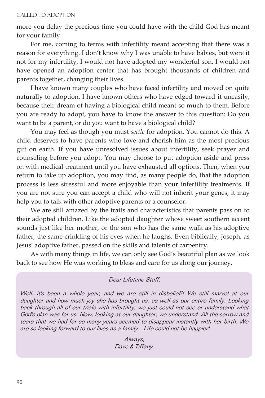#### CALLED TO ADOPTION

more you delay the precious time you could have with the child God has meant for your family.

For me, coming to terms with infertility meant accepting that there was a reason for everything. I don't know why I was unable to have babies, but were it not for my infertility, I would not have adopted my wonderful son. I would not have opened an adoption center that has brought thousands of children and parents together, changing their lives.

I have known many couples who have faced infertility and moved on quite naturally to adoption. I have known others who have edged toward it uneasily, because their dream of having a biological child meant so much to them. Before you are ready to adopt, you have to know the answer to this question: Do you want to be a parent, or do you want to have a biological child?

You may feel as though you must *settle* for adoption. You cannot do this. A child deserves to have parents who love and cherish him as the most precious gift on earth. If you have unresolved issues about infertility, seek prayer and counseling before you adopt. You may choose to put adoption aside and press on with medical treatment until you have exhausted all options. Then, when you return to take up adoption, you may find, as many people do, that the adoption process is less stressful and more enjoyable than your infertility treatments. If you are not sure you can accept a child who will not inherit your genes, it may help you to talk with other adoptive parents or a counselor.

We are still amazed by the traits and characteristics that parents pass on to their adopted children. Like the adopted daughter whose sweet southern accent sounds just like her mother, or the son who has the same walk as his adoptive father, the same crinkling of his eyes when he laughs. Even biblically, Joseph, as Jesus' adoptive father, passed on the skills and talents of carpentry.

As with many things in life, we can only see God's beautiful plan as we look back to see how He was working to bless and care for us along our journey.

#### Dear Lifetime Staff,

Well...it's been a whole year, and we are still in disbelief!! We still marvel at our daughter and how much joy she has brought us, as well as our entire family. Looking back through all of our trials with infertility, we just could not see or understand what God's plan was for us. Now, looking at our daughter, we understand. All the sorrow and tears that we had for so many years seemed to disappear instantly with her birth. We are so looking forward to our lives as a family—Life could not be happier!

> Always, Dave & Tiffany.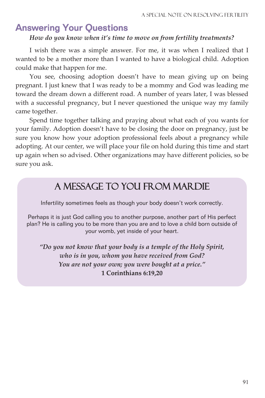### Answering Your Questions

#### *How do you know when it's time to move on from fertility treatments?*

I wish there was a simple answer. For me, it was when I realized that I wanted to be a mother more than I wanted to have a biological child. Adoption could make that happen for me.

You see, choosing adoption doesn't have to mean giving up on being pregnant. I just knew that I was ready to be a mommy and God was leading me toward the dream down a different road. A number of years later, I was blessed with a successful pregnancy, but I never questioned the unique way my family came together.

Spend time together talking and praying about what each of you wants for your family. Adoption doesn't have to be closing the door on pregnancy, just be sure you know how your adoption professional feels about a pregnancy while adopting. At our center, we will place your file on hold during this time and start up again when so advised. Other organizations may have different policies, so be sure you ask.

## A Message to You from Mardie

Infertility sometimes feels as though your body doesn't work correctly.

Perhaps it is just God calling you to another purpose, another part of His perfect plan? He is calling you to be more than you are and to love a child born outside of your womb, yet inside of your heart.

*"Do you not know that your body is a temple of the Holy Spirit, who is in you, whom you have received from God? You are not your own; you were bought at a price."* **1 Corinthians 6:19,20**